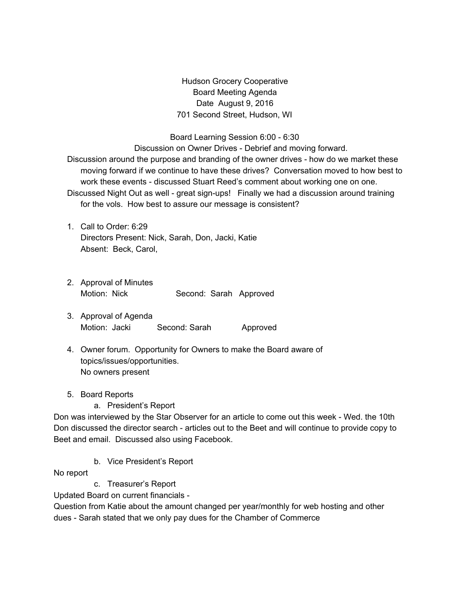Hudson Grocery Cooperative Board Meeting Agenda Date August 9, 2016 701 Second Street, Hudson, WI

Board Learning Session 6:00 - 6:30 Discussion on Owner Drives - Debrief and moving forward. Discussion around the purpose and branding of the owner drives - how do we market these moving forward if we continue to have these drives? Conversation moved to how best to work these events - discussed Stuart Reed's comment about working one on one. Discussed Night Out as well - great sign-ups! Finally we had a discussion around training for the vols. How best to assure our message is consistent?

- 1. Call to Order: 6:29 Directors Present: Nick, Sarah, Don, Jacki, Katie Absent: Beck, Carol,
- 2. Approval of Minutes Motion: Nick Second: Sarah Approved
- 3. Approval of Agenda Motion: Jacki Second: Sarah Approved
- 4. Owner forum. Opportunity for Owners to make the Board aware of topics/issues/opportunities. No owners present
- 5. Board Reports
	- a. President's Report

Don was interviewed by the Star Observer for an article to come out this week - Wed. the 10th Don discussed the director search - articles out to the Beet and will continue to provide copy to Beet and email. Discussed also using Facebook.

b. Vice President's Report

No report

c. Treasurer's Report

Updated Board on current financials -

Question from Katie about the amount changed per year/monthly for web hosting and other dues - Sarah stated that we only pay dues for the Chamber of Commerce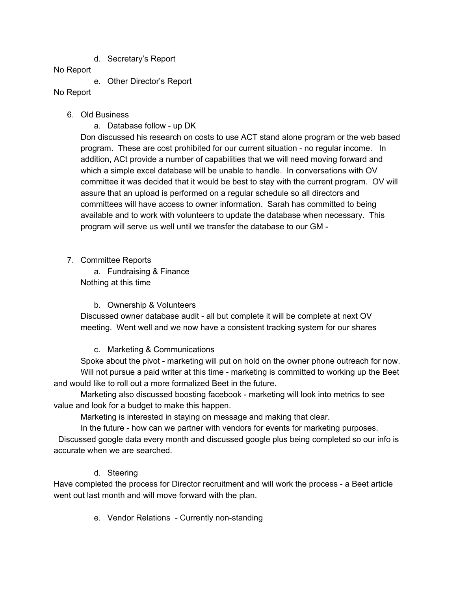d. Secretary's Report

### No Report

e. Other Director's Report

# No Report

- 6. Old Business
	- a. Database follow up DK

Don discussed his research on costs to use ACT stand alone program or the web based program. These are cost prohibited for our current situation - no regular income. In addition, ACt provide a number of capabilities that we will need moving forward and which a simple excel database will be unable to handle. In conversations with OV committee it was decided that it would be best to stay with the current program. OV will assure that an upload is performed on a regular schedule so all directors and committees will have access to owner information. Sarah has committed to being available and to work with volunteers to update the database when necessary. This program will serve us well until we transfer the database to our GM -

7. Committee Reports

a. Fundraising & Finance Nothing at this time

# b. Ownership & Volunteers

Discussed owner database audit - all but complete it will be complete at next OV meeting. Went well and we now have a consistent tracking system for our shares

### c. Marketing & Communications

Spoke about the pivot - marketing will put on hold on the owner phone outreach for now. Will not pursue a paid writer at this time - marketing is committed to working up the Beet and would like to roll out a more formalized Beet in the future.

Marketing also discussed boosting facebook - marketing will look into metrics to see value and look for a budget to make this happen.

Marketing is interested in staying on message and making that clear.

In the future - how can we partner with vendors for events for marketing purposes. Discussed google data every month and discussed google plus being completed so our info is

accurate when we are searched.

# d. Steering

Have completed the process for Director recruitment and will work the process - a Beet article went out last month and will move forward with the plan.

e. Vendor Relations - Currently non-standing